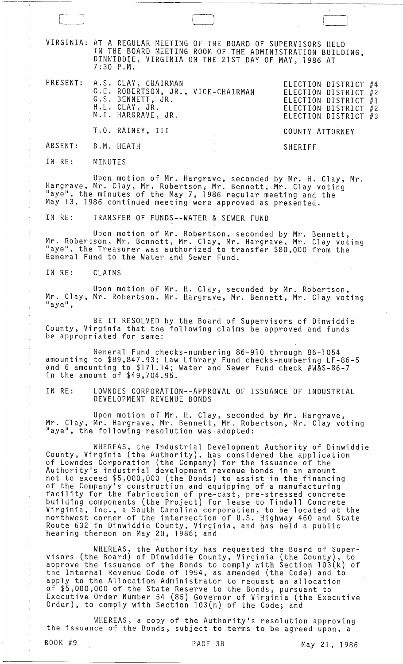VIRGINIA: AT A REGULAR MEETING OF THE BOARD OF SUPERVISORS HELD IN THE BOARD MEETING ROOM OF THE ADMINISTRATION BUILDING, DINWIDDIE, VIRGINIA ON THE 21ST DAY OF MAY, 1986 AT 7:30 P.M.

|                    | PRESENT: A.S. CLAY, CHAIRMAN<br>G.E. ROBERTSON, JR., VICE-CHAIRMAN<br>G.S. BENNETT, JR.<br>H.L. CLAY, JR.<br>M.I. HARGRAVE, JR. |                 | ELECTION DISTRICT #4<br>ELECTION DISTRICT #2<br>ELECTION DISTRICT $#1$<br>ELECTION DISTRICT #2<br>ELECTION DISTRICT #3 |  |
|--------------------|---------------------------------------------------------------------------------------------------------------------------------|-----------------|------------------------------------------------------------------------------------------------------------------------|--|
|                    | T.O. RAINEY, III                                                                                                                | COUNTY ATTORNEY |                                                                                                                        |  |
| ABSENT: B.M. HEATH |                                                                                                                                 | SHERTEE         |                                                                                                                        |  |

IN RE: MINUTES

-~---

Upon motion of Mr. Hargrave, seconded by Mr. H. Clay, Mr. Hargrave, Mr. Clay, Mr. Robertson; Mr. Bennett; Mr. Clay voting "aye", the minutes of the May 7, 1986 regular meeting and the May 13, 1986 continued meeting were approved as presented.

IN RE: TRANSFER OF FUNDS--WATER & SEWER FUND

Upon motion of Mr. Robertson, seconded by Mr. Bennett, Mr. Robertson, Mr. Bennett, Mr. Clay, Mr. Hargrave, Mr. Clay voting "aye", the Treasurer was authorized to transfer \$80,000 from the General Fund to the Water and Sewer Fund.

IN RE: CLAIMS

Upon motion of Mr. H. Clay, seconded by Mr. Robertson, Mr. Clay, Mr. Robertson, Mr. Hargrave, Mr. Bennett, Mr. Clay voting<br>"aye",

BE IT RESOLVED by the Board of Supervisors of Dinwiddie County, Virginia that the following claims be approved and funds be appropriated for same:

General Fund checks-numbering 86-910 through 86-1054 amounting to \$89,847.93; Law Library Fund checks-numbering LF-86-5 and 6 amounting to \$171.14; Water and Sewer Fund check #W&S-86-7 in the amount of \$49,704.95.

IN RE: LOWNDES CORPORATION--APPROVAL OF ISSUANCE OF INDUSTRIAL DEVELOPMENT REVENUE BONDS

Upon motion of Mr. H. Clay, seconded by Mr. Hargrave, Mr. Clay, Mr. Hargrave, Mr. Bennett, Mr. Robertson, Mr. Clay voting "aye", the following resolution was adopted:

WHEREAS, the Industrial Development Authority of Dinwiddie County, Virginia (the Authority), has considered the application<br>of Lowndes Corporation (the Company) for the issuance of the Authority's industrial development revenue bonds in an amount not to exceed \$5,000,000 (the Bonds) to assist in the financing of the Company's construction and equipping of a manufacturing facility for the fabrication of pre~cast, pre-stressed concrete building components (the Project) for lease to Tindall Concrete Virginia, Inc., a South Carolina corporation, to be located at the northwest corner of the intersection of U.S. Highway 460 and State Route 632 in Dinwiddie County, Virginia, and has held a public<br>hearing thereon on May 20, 1986; and

WHEREAS, the Authority has requested the Board. of Super- visors (the Board) of Dinwiddie County, Virginia (the County), to approve the issuance of the Bonds to comply with Section 103(k) of the Internal Revenue Code of 1954, as amended (the Code) and to apply to the Allocation Administrator to request an allocation of \$5,000,060 of the State Reserve to the Bonds, pursuant to Executive Order Number 54 (85) Governor of Virginia (the Executive Order), to comply with Section l03(n} of the Code; and

WHEREAS, a copy of the Authority's resolution approving<br>the issuance of the Bonds, subject to terms to be agreed upon, a

 $\Box$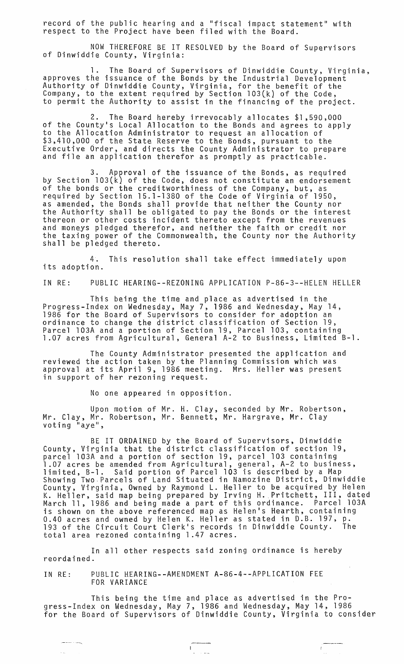record of the public hearing and a "fiscal impact statement" with respect to the Project have been filed with the Board.

NOW THEREFORE BE IT RESOLVED by the Board of Supervisors<br>of Dinwiddie County, Virginia:

The Board of Supervisors of Dinwiddie County, Virginia, approves the issuance of the Bonds by the Industrial Development<br>Authority of Dinwiddie County, Virginia, for the benefit of the Company, to the extent required by Section 103(k} of the Code, to permit the Authority to assist in the financing of the project.

2. The Board hereby irrevocably allocates \$1,590,000 of the County's Local Allocation to the Bonds and agrees to apply to the Allocation Administrator to request an allocation of \$3,410,000 of the State Reserve to the Bonds, pursuant to the Executive Order, and directs the County Administrator to prepare<br>and file an application therefor as promptly as practicable.

3. Approval of the issuance of the Bonds, as required by Section 103(k2 of the Code, does not constitute an endorsement of the bonds or the creditworthiness of the Company, but, as required by Section 15.1-1380 of the Code of Virginia of 1950, as amended, the Bonds shall provide that neither the County nor the Authority shall be obligated to pay the Bonds or the interest thereon or other costs incident thereto except from the revenues and moneys pledged therefor, and neither the faith or credit nor the taxing power of the Commonwealth, the County nor the Authority shall be pledged thereto.

4. This resolution shall take effect immediately upon its adoption.

IN RE: PUBLIC HEARING--REZONING APPLICATION P-86-3--HELEN HELLER

This being the time and place as advertised in the Progress-Index on Wednesday, May 7, 1986 and Wednesday, May 14, 1986 for the Board of Supervisors to consider for adoption an ordinance to change the district classification of Section 19, Parcel 103A and a portion of Section 19, Parcel 103, containing<br>1.07 acres from Agricultural, General A-2 to Business, Limited B-1.

The County Administrator presented the application and reviewed the action taken by the Planning Commission which was approval at its April 9, 1986 meeting. Mrs. Heller was present in support of her rezoning request.

No one appeared in opposition.

Upon motion of Mr. H. Clay, seconded by Mr. Robertson, Mr. Clay, Mr. Robertson, Mr. Bennett, Mr. Hargrave, Mr. Clay voting "aye",

BE IT ORDAINED by the Board of Supervisors, Dinwiddie County, Virginia that the district classification of section 19,<br>parcel 103A and a portion of section 19, parcel 103 containing<br>material containing containing parcel 103A and a portion of section 19, parcel 103 containing<br>1.07 acres be amended from Agricultural, general, A-2 to business, limited, B-1. Said portion of Parcel 103 is described by a Map Showing Two·Parcels of Land Situated in Namozine District, Dinwiddie County, Virginia, Owned by Raymond L. Heller to be acquired by Helen K. Heller, said map being prepared by Irving H.Pritchett, III, dated March 11, 1986 and being made a part of this ordinance. Parcel 103A is shown on the above referenced map as Helen's Hearth, containing 0.40 acres and owned by Helen K. Heller as stated in D.B. 197, p.<br>193 of the Circuit Court Clerk's records in Dinwiddie County. The 193 of the Circuit Court Clerk's records in Dinwiddie County. The total area rezoned containing 1.47 acres.

In all other respects said zoning ordinance is hereby reordained.

IN RE: PUBLIC HEARING--AMENDMENT A-86-4--APPLICATION FEE FOR VARIANCE

يتساعد المست

This being the time and place as advertised in the Progress-Index on Wednesday, May 7, 1986 and Wednesday, May 14, 1986 for the Board of Supervisors of Dinwiddie County, Virginia to consider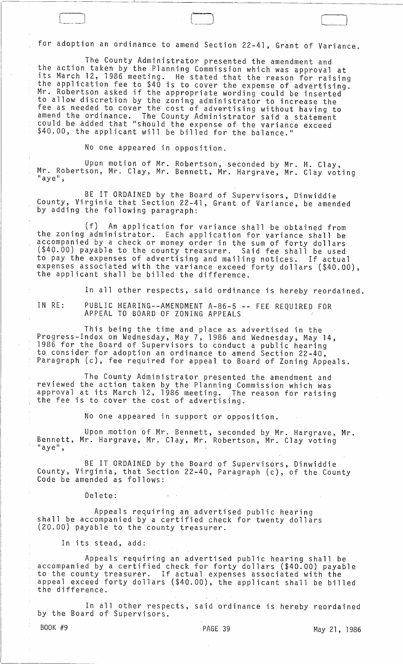for adoption an ordinance to amend Section 22-41, Grant of Variance.

The County Administrator presented the amendment and the action taken by the Planning Commission which was approval at its March 12, 1986 meeting. He stated that the reason for raising the application fee to \$40 is to cover the expense of advertising. Mr. Robertson asked if the appropriate wording could be inserted to allow discretion by the zoning administrator to increase the fee as needed to cover the' cost of advertising without having to amend the ordinance. The County Administrator said a statement could be added that "should the expense of the variance exceed \$40.00, the applicant will be billed for the balance."

No one appeared in opposition.

Upon motion of Mr. Robertson, seconded by Mr. H. Clay, Mr. Robertson, Mr. Clay, Mr. Bennett, Mr. Hargrave, Mr. Clay voting  $"$ aye",

BE IT ORDAINED by the Board of Supervisors, Dinwiddie County, Virginia that Section 22-41, Grant of Variance, be amended by adding.the following paragraph:

(f) An application for variance shall be obtained from the zoning administrator. Each application for variance shall be accompanied by a check or money order in the sum of forty dollars (\$40.00) payable to the county tieasurer. Said fee shall be used to pay the expenses of advertising and mailing notices. If actual expenses associated with the variance exceed forty dollars (\$40.00), the applicant shall be billed the difference.

In all other respects, said ordinance is hereby reordained.

IN RE:

PUBLIC HEARING--AMENDMENT A-86-5 **--** FEE REQUIRED FOR APPEAL TO BOARD OF ZONING APPEALS

This being the time and place as advertised in the Progress-Index on Wednesday, May 7, 1986 and Wednesday, May 14, 1986 for the Board of Supervisors to conduct a public hearing to consider for adoption an ordinance to amend Section 22-40, Paragraph (c), fee required for appeal to Board of Zoning Appeals.

The County Administrator presented the amendment and reviewed the action taken by the Planning Commission which was approval at its March 12, 1986 meeting. The reason for raising the fee is to cover the cost of advertising.

No one appeared in support or opposition.

Upon motion of Mr. Bennett; seconded by Mr. Hargrave, Mr. Bennett, Mr. Hargrave, Mr. Clay, Mr. Robertson, Mr. Clay voting<br>"aye",

BE IT ORDAINED by the Board of Supervisors, Dinwiddie County, Virginia, that Section 22-40, Paragraph (c), of the County Code be amended as follows:

Delete:

Appeals requiring an advertised public hearing shall be accompanied by a certified check for twenty dollars (20.00) payable to the county treasurer.

In its stead, add:

Appeals requiring an advertised public hearing shall be accompanied by a certified check for forty dollars (\$40.00) payable to the county treasurer. If actual expenses associated with the appeal exceed forty dollars (\$40.00), the applicant shall be billed the difference.

In all other respects, said ordinance is hereby reordained by the Board of Supervisors.

 $\Gamma$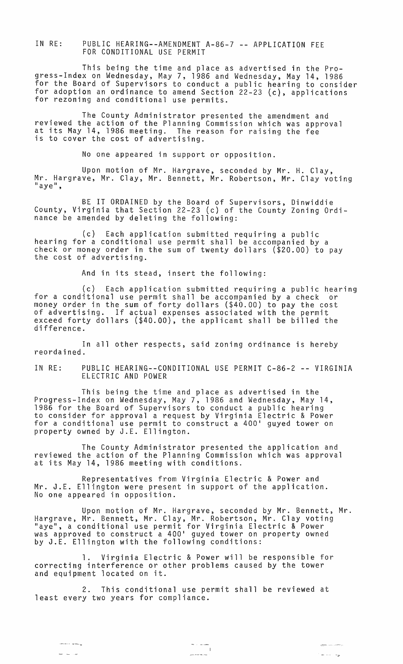IN RE: PUBLIC HEARING--AMENDMENT A-86-7 -- APPLICATION FEE FOR CONDITIONAL USE PERMIT

This being the time and place as advertised in the Progress-Index on Wednesday, May 7, 1986 and Wednesday, May 14, 1986 for the Board of Supervisors to conduct a public hearing to consider for adoption an ordinance to amend Section 22-23 (c), applications for rezoning and conditional use permits.

The County Administrator presented the amendment and reviewed the action of the Planning Commission which was approval at its May 14, 1986 meeting. The reason for raising the fee is to *cover* the cost of advertising.

No one appeared in support or opposition.

Upon motion of Mr. Hargrave, seconded by Mr. H. Clay, Mr. Hargrave, Mr. Clay, Mr. Bennett, Mr. Robertson, Mr. Clay voting<br>"aye",

BE IT ORDAINED by the Board of Supervisors, Dinwiddie County, Virginia that Section 22-23 (c) of the County Zoning Ordinance be amended by deleting the following:

(c) Each application submitted requiring a public hearing for a conditional use permit shall be accompanied by a check or money order in the sum of twenty dollars (\$20.00) to pay<br>the cost of advertising.

And in its stead, insert the following:

(c) Each application submitted requiring a public hearing for a conditional use permit shall be accompanied by a check or money order in the sum of forty dollars (\$40.00) to pay the cost of advertising. If actual expenses associated with the permit exceed forty dollars (\$40.00), the applicant shall be billed the difference.

In all other respects, said zoning ordinance is hereby reordained.

IN RE: PUBLIC HEARING--CONDITIONAL USE PERMIT C-86-2 -- VIRGINIA ELECTRIC AND POWER

This being the time and place as advertised in the Progress-Index on Wednesday, May 7, 1986 and Wednesday, May 14, 1986 for the Board of Supervisors to conduct a public hearing to consider for approval a request by Virginia Electric & Power for a conditional use permit to construct a 400' guyed tower on property owned by J.E. Ellington.

The County Administrator presented the application and reviewed the action of the Planning Commission which was approval at its May 14, 1986 meeting with conditions.

Representatives from Virginia Electric & Power and Mr. J.E. Ellington were present in support of the application. No one appeared in opposition.

Upon motion of Mr. Hargrave, seconded by Mr. Bennett, Mr. Hargrave, Mr. Bennett, Mr. Clay, Mr. Robertson, Mr. Clay voting<br>"aye", a conditional use permit for Virginia Electric & Power was approved to construct a 400' guyed tower on property owned by J.E. Ellington with the following conditions:

1. Virginia Electric & Power will be responsible for correcting interference or other problems caused by the tower and equipment located on it.

2. This conditional use permit shall be reviewed at least *every* two years for compliance.

ا<br>مولاد الماء الله ا

ن<br>منابع المسلم المسلم المسلم المسلم المسلم المسلم المسلم المسلم المسلم المسلم المسلم المسلم المسلم المسلم المسلم ر<br>مورد است.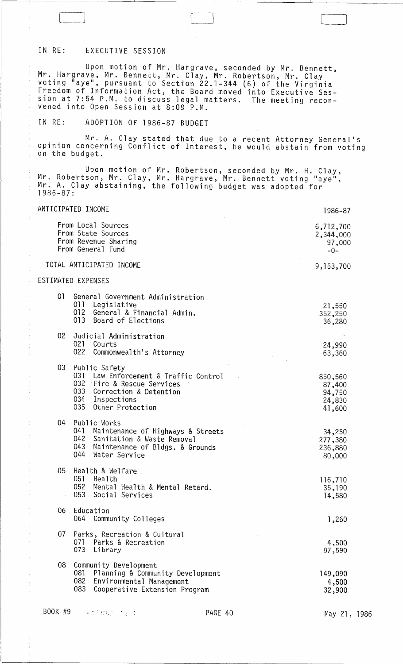# IN RE: EXECUTIVE SESSION

Upon motion of Mr. Hargrave, seconded by Mr. Bennett, Mr. Hargrave, Mr. Bennett, Mr. Clay, Mr. Robertson, Mr. Clay voting "aye", pursuant to Section 22.1-344 (6) of the Virginia Freedom of Information Act, the Board moved into Executive Session at 7:54 P.M. to discuss legal matters. The meeting reconvened into Open Session at 8:09 P.M.

# IN RE: ADOPTION OF 1986-87 BUDGET

Mr. A. Clay stated that due to a recent Attorney General's opinion concerning Conflict of Interest, he would abstain from voting on the budget.

Upon motion of Mr. Robertson, seconded by Mr. H. Clay, Mr. Robertson, Mr. Clay, Mr. Hargrave, Mr. Bennett voting "aye", Mr. A. Clay abstaining, the following budget was adopted for 1986-87:

| ANTICIPATED INCOME |                                                                                                                                                               | 1986-87                                         |
|--------------------|---------------------------------------------------------------------------------------------------------------------------------------------------------------|-------------------------------------------------|
|                    | From Local Sources<br>From State Sources<br>From Revenue Sharing<br>From General Fund                                                                         | 6,712,700<br>2,344,000<br>97,000<br>$-0-$       |
|                    | TOTAL ANTICIPATED INCOME                                                                                                                                      | 9,153,700                                       |
| ESTIMATED EXPENSES |                                                                                                                                                               |                                                 |
| 01<br>011          | General Government Administration<br>Legislative<br>012 General & Financial Admin.<br>013 Board of Elections                                                  | 21,550<br>352,250<br>36,280                     |
| 02                 | Judicial Administration<br>021 Courts<br>022 Commonwealth's Attorney                                                                                          | 24,990<br>63,360                                |
| 03                 | Public Safety<br>031 Law Enforcement & Traffic Control<br>032 Fire & Rescue Services<br>033 Correction & Detention<br>034 Inspections<br>035 Other Protection | 850,560<br>87,400<br>94,750<br>24,830<br>41,600 |
| 04<br>044          | Public Works<br>041 Maintenance of Highways & Streets<br>042 Sanitation & Waste Removal<br>043 Maintenance of Bldgs. & Grounds<br>Water Service               | 34,250<br>277,380<br>236,880<br>80,000          |
| 05<br>052<br>053   | Health & Welfare<br>051 Health<br>Mental Health & Mental Retard.<br>Social Services                                                                           | 116,710<br>35,190<br>14,580                     |
| 06                 | Education<br>064 Community Colleges                                                                                                                           | 1,260                                           |
| 07<br>073          | Parks, Recreation & Cultural<br>071 Parks & Recreation<br>Library                                                                                             | 4,500<br>87,590                                 |
| 08<br>081<br>083   | Community Development<br>Planning & Community Development<br>082 Environmental Management<br>Cooperative Extension Program                                    | 149,090<br>4,500<br>32,900                      |

BOOK #9 - " : '.:', . PAGE 40

 $\hat{\mathcal{L}}$ 

 $\bar{\beta}$ 

May 21, 1986

 $[$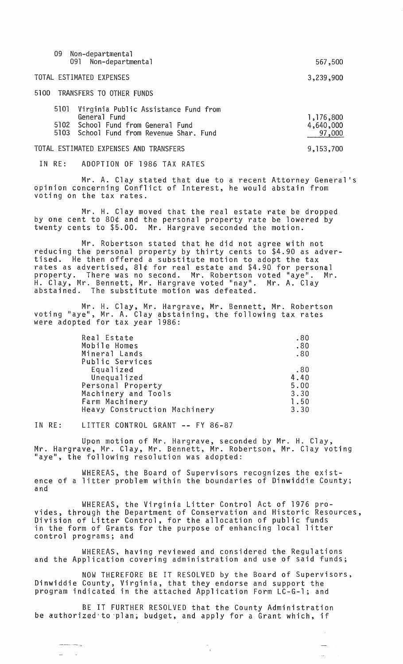| 09<br>Non-departmental<br>Non-departmental<br>091                                                                                              | 567,500                          |
|------------------------------------------------------------------------------------------------------------------------------------------------|----------------------------------|
| TOTAL ESTIMATED EXPENSES                                                                                                                       | 3,239,900                        |
| 5100 TRANSFERS TO OTHER FUNDS                                                                                                                  |                                  |
| Virginia Public Assistance Fund from<br>5101<br>General Fund<br>5102 School Fund from General Fund<br>5103 School Fund from Revenue Shar. Fund | 1,176,800<br>4,640,000<br>97,000 |
| TOTAL ESTIMATED EXPENSES AND TRANSFERS                                                                                                         | 9, 153, 700                      |

IN RE: ADOPTION OF 1986 TAX RATES

Mr. A. Clay stated that due to a recent Attorney General's opinion concerning Conflict of Interest, he would abstain from voting on the tax rates.

Mr. H. Clay moved that the real estate rate be dropped by one cent to 80¢ and the personal property rate be lowered by twenty cents to \$5.00. Mr. Hargrave seconded the motion.

Mr. Robertson stated that he did not agree with not reducing the personal property by thirty cents to \$4.90 as advertised. He then offered a substitute motion to adopt the tax rates as advertised, 81¢ for real estate and \$4.90 for personal property. There was no second. Mr. Robertson voted "aye". Mr. H. Clay, Mr. Bennett, Mr. Hargrave voted "nay". Mr. A. Clay<br>abstained. The substitute motion was defeated.

Mr. H. Clay, Mr. Hargrave, Mr. Bennett, Mr. Robertson voting "aye", Mr. A. Clay abstaining, the following tax rates were adopted for tax year 1986:

| Real Estate                  | .80  |
|------------------------------|------|
| Mobile Homes                 | .80  |
| Mineral Lands                | .80  |
| Public Services              |      |
| Equalized                    | .80  |
| Unequalized                  | 4.40 |
| Personal Property            | 5.00 |
| Machinery and Tools          | 3.30 |
| Farm Machinery               | 1.50 |
| Heavy Construction Machinery | 3.30 |

#### IN RE: LITTER CONTROL GRANT -- FY 86-87

an Sil

Upon motion of Mr. Hargrave, seconded by Mr. H. Clay, Mr. Hargrave, Mr. Clay, Mr. Bennett, Mr. Robertson, Mr. Clay voting "aye", the following resolution was adopted:

WHEREAS, the Board of Supervisors recognizes the existence of a litter problem within the boundaries of Dinwiddie County; and

WHEREAS, the Virginia Litter Control Act of 1976 provides, through the Department of Conservation and Historic Resources, Division of Litter Control, for the allocation of public funds in the form of Grants for the purpose of enhancing local litter control programs; and

WHEREAS, having reviewed and considered the Regulations and the Application covering administration and use of said funds;

NOW THEREFORE BE IT RESOLVED by the Board of Supervisors, Dinwiddie County, Virginia, that they endorse and support the program indicated in the attached Application Form LC-G-l; and

 $\mathbb{Z}^2$ 

BE IT FURTHER RESOLVED that the County Administration be authorized to plan, budget, and apply for a Grant which, if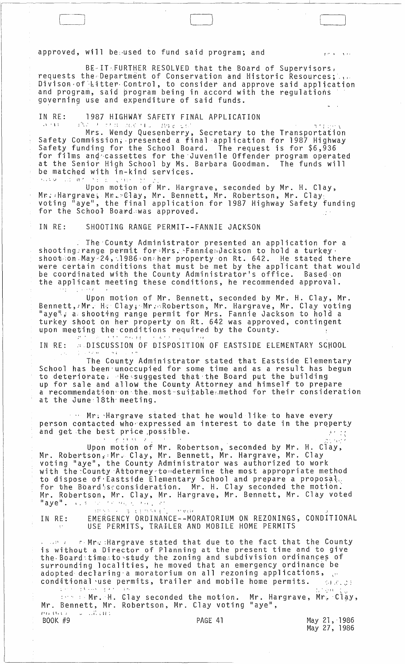approved, will be used to fund said program; and

BE-IT:FURTHER RESOLVED that the Board of Supervisors, requests the Department of Conservation and Historic Resources; governing use and expenditure of said funds.

1987 HIGHWAY SAFETY FINAL APPLICATION IN RE:

Mrs. Wendy Quesenberry, Secretary to the Transportation<br>Safety Commission, presented a final application for 1987 Highway<br>Safety funding for the School Board. The request is for \$6,936 for films and cassettes for the Juvenile Offender program operated<br>at the Senior High School by Ms. Barbara Goodman. The funds will be matched with in-kind services. Karo Lo de  $\mathcal{N}(\xi)$  ,  $\mathcal{L}(\xi)$ **Control** 

Upon motion of Mr. Hargrave, seconded by Mr. H. Clay,<br>Mr. Hargrave, Mr. Clay, Mr. Bennett, Mr. Robertson, Mr. Clay,<br>voting "aye", the final application for 1987 Highway Safety funding for the School Board was approved.  $\mathcal{F}^{\mathcal{F}}$ 

SHOOTING RANGE PERMIT--FANNIE JACKSON IN RF:

 $\epsilon + \epsilon$ 

The County Administrator presented an application for a shooting: range permit for Mrs. Fanniendackson to hold a turkey. shoot on May 24, 1986 on the property on Rt. 642. He stated there<br>were certain conditions that must be met by the applicant that would<br>be coordinated with the County Administrator's office. Based on the applicant meeting these conditions, he recommended approval.

Upon motion of Mr. Bennett, seconded by Mr. H. Clay, Mr.<br>Bennett, Mr. H. Clay, Mr. Robertson, Mr. Hargrave, Mr. Clay voting<br>"aye", a shooting range permit for Mrs. Fannie Jackson to hold a<br>turkey shoot on her property on R upon meeting the conditions required by the County.  $\overline{1,1}$  and  $\overline{1,1}$  $\langle \cdot \rangle$  is  $\gamma$  .

**BISCUSSION OF DISPOSITION OF EASTSIDE ELEMENTARY SCHOOL** IN RE: s or kel

The County Administrator stated that Eastside Elementary School has been unoccupied for some time and as a result has begun to deteriorate: He suggested that the Board put the building<br>up for sale and allow the County Attorney and himself to prepare<br>a recommendation on the most suitable method for their consideration at the June 18th meeting.

we Mr. Hargrave stated that he would like to have every person contacted who expressed an interest to date in the property and get the best price possible.  $\mathcal{A}(\mathcal{F})$  and

Upon motion of Mr. Robertson, seconded by Mr. H. Clay,<br>Mr. Robertson, Mr. Clay, Mr. Bennett, Mr. Hargrave, Mr. Clay<br>voting "aye", the County Administrator was authorized to work with the County Attorney to determine the most appropriate method to dispose of Eastside Elementary School and prepare a proposal. for the Board's consideration. Mr. H. Clay seconded the motion.<br>Mr. Robertson, Mr. Clay, Mr. Hargrave, Mr. Bennett, Mr. Clay voted जिल्ला अस्तुत्वा कर्मा हो।<br>जन्म "aye".  $\cdots$ 

 $\frac{1}{2}$  for  $\frac{1}{2}$  ,  $\frac{1}{2}$ a china anni  $15.9337$ EMERGENCY ORDINANCE--MORATORIUM ON REZONINGS, CONDITIONAL<br>USE PERMITS, TRAILER AND MOBILE HOME PERMITS IN RE:

reMr: : Hargrave stated that due to the fact that the County is without a Director of Planning at the present time and to give the Board:time.to study the zoning and subdivision ordinances of<br>surrounding localities, he moved that an emergency ordinance be<br>adopted declaring a moratorium on all rezoning applications,

conditional use permits, trailer and mobile home permits.<br>
We also then the Clay seconded the motion. Mr. Hargrave, Mr. Clay,<br>
Mr. Bennett, Mr. Robertson, Mr. Clay voting "aye",  $\omega = 1.77334$ PU BULLE

BOOK #9

121.

May 21, 1986<br>May 27, 1986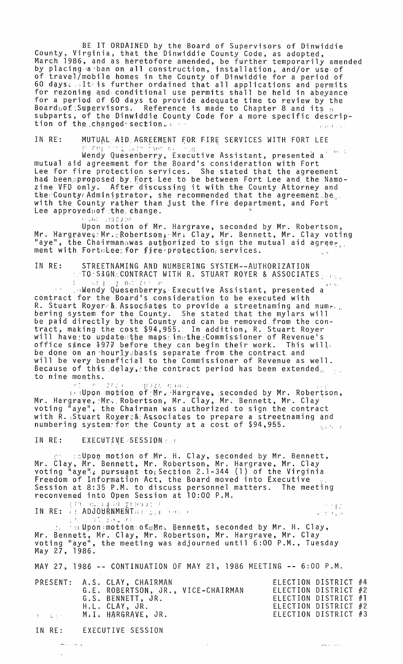BE IT ORDAINED by the Board of Supervisors of Dinwiddie<br>County, Virginia, that the Dinwiddie County Code, as adopted,<br>March 1986, and as heretofore amended, be further temporarily amended<br>by placing a ban on all constructi 60 days: It is further ordained that all applications and permits<br>for rezoning and conditional use permits shall be held in abeyance for a period of 60 days to provide adequate time to review by the<br>Boardoof: Supervisors. Reference is made to Chapter 8 and its subparts, of the Dinwiddie County Code for a more specific description of the changed section. **CEAR FORE** 

MUTUAL AID AGREEMENT FOR FIRE SERVICES WITH FORT LEE IN RE:

Wendy Quesenberry, Executive Assistant, presented a<br>mutual aid agreement for the Board's consideration with Fort<br>Lee for fire protection services. She stated that the agreement had been proposed by Fort Lee to be between Fort Lee and the Namozine VFD only. After discussing it with the County Attorney and the County Administrator, she recommended that the agreement be. with the County rather than just the fire department, and Fort<br>Lee approvednof the change.

1001 10210 Upon motion of Mr. Hargrave, seconded by Mr. Robertson,<br>Mr. Hargraves: Mr.: Robertson, Mr. Clay, Mr. Bennett, Mr. Clay voting<br>"aye", the Chairman was authorized to sign the mutual aid agree.

STREETNAMING AND NUMBERING SYSTEM--AUTHORIZATION<br>::TO:SIGN:CONTRACT WITH R. STUART ROYER & ASSOCIATES IN RE:  $\mathbb{C}$  .

Alendy Quesenberry Executive Assistant, presented a contract for the Board's consideration to be executed with R. Stuart Royer & Associates to provide a streetnaming and num-<br>bering system for the County. She stated that the mylars will<br>be paid directly by the County and can be removed from the con-<br>tract, making the cost \$94,955. be done on an hourly basis separate from the contract and will be very beneficial to the Commissioner of Revenue as well. Because of this delay, the contract period has been extended  $\sim 10^{11}$ to nine months.

at the same presentance, seconded by Mr. Robertson, Mr. Hargrave, Mr. Robertson, Mr. Clay, Mr. Bennett, Mr. Clay<br>voting "aye", the Chairman was authorized to sign the contract with  $\tilde{R}$ . Stuart Royers& Associates to prepare a streetnaming and numbering system for the County at a cost of \$94,955. 使变化 经

IN RE: EXECUTIVE SESSION

clpon motion of Mr. H. Clay, seconded by Mr. Bennett,<br>Mr. Clay, Mr. Bennett, Mr. Robertson, Mr. Hargrave, Mr. Clay<br>voting "aye", pursuant to Section 2.1-344 (1) of the Virginia Freedom of Information Act, the Board moved into Executive<br>Session at 8:35 P.M. to discuss personnel matters. The meeting<br>reconvened into Open Session at 10:00 P.M.

4. 5. 1  $\pm 1$ 工工 四 ្នុស្ស ព្រះ IN RE: (? ADJOURNMENTOR COLLECTER  $-35 - 200$  and  $-64$ 

s e pr つういちょう

رداميات المست

Seconded by Mr. H. Clay, Mr. Bennett, Seconded by Mr. H. Clay, Mr. Bennett, Mr. Clay, Mr. Robertson, Mr. Hargrave, Mr. Clay voting "aye", the meeting was adjourned until 6:00 P.M., Tuesday May 27, 1986.

MAY 27, 1986 -- CONTINUATION OF MAY 21, 1986 MEETING -- 6:00 P.M.

| PRESENT: A.S. CLAY, CHAIRMAN         | ELECTION DISTRICT #4 |  |
|--------------------------------------|----------------------|--|
| G.E. ROBERTSON, JR., VICE-CHAIRMAN   | ELECTION DISTRICT #2 |  |
| G.S. BENNETT, JR.                    | ELECTION DISTRICT #1 |  |
| H.L. CLAY, JR.                       | ELECTION DISTRICT #2 |  |
| <b>Experience M.I. HARGRAVE, JR.</b> | ELECTION DISTRICT #3 |  |

IN RE: EXECUTIVE SESSION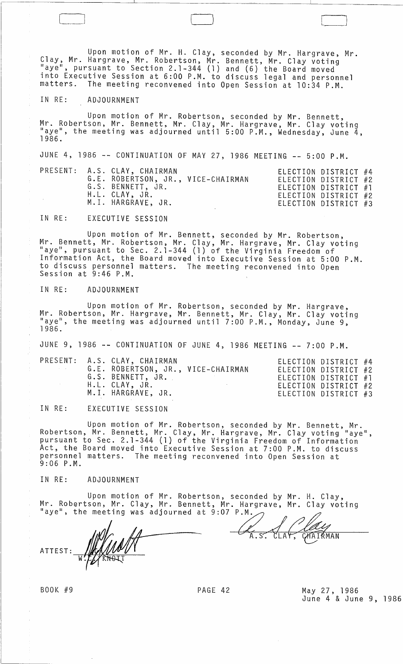Upon motion of Mr. H. Clay, seconded by Mr. Hargrave, Mr. Clay, Mr. Hargrave, Mr. Robertson, Mr. Bennett, Mr. Clay voting "aye", pursuant to Section 2.1-344 (1) and (6) the Board moved into Executive Session at 6:00 P.M. to discuss legal and personnel matters. The meeting reconvened into Open Session at 10:34 P.M.

\_J LJ J

### IN RE: ADJOURNMENT

Upon motion of Mr. Robertson, seconded by Mr. Bennett, Mr. Robertson, Mr. Bennett, Mr. Clay, Mr. Hargrave, Mr. Clay voting<br>"aye", the meeting was adjourned until 5:00 P.M., Wednesday, June 4,<br>1986.

JUNE 4, 1986 -- CONTINUATION OF MAY 27, 1986 MEETING -- 5:00 P.M. PRESENT: A.S. CLAY, CHAIRMAN ELECTION DICTDICT #4

|  | TRESENT. A.S. GEAI, GAAIRMAN       | LLLUIUN DISIKIUI #4  |  |
|--|------------------------------------|----------------------|--|
|  | G.E. ROBERTSON, JR., VICE-CHAIRMAN | ELECTION DISTRICT #2 |  |
|  | G.S. BENNETT, JR.                  | ELECTION DISTRICT #1 |  |
|  | H.L. CLAY, JR.                     | ELECTION DISTRICT #2 |  |
|  | M.I. HARGRAVE, JR.                 | ELECTION DISTRICT #3 |  |
|  |                                    |                      |  |

IN RE: EXECUTIVE SESSION

Upon motion of Mr. Bennett, seconded by Mr. Robertson, Mr. Bennett, Mr. Robertson, Mr. Clay, Mr. Hargrave, Mr. Clay voting "aye", pursuant to Sec. 2.1-344 (1) of the Virginia Freedom of Information Act, the Board moved into Executive Session at 5:00 P.M. to discuss personnel matters. The meeting reconvened into Open Session at 9:46 P.M.

## IN RE: ADJOURNMENT

Upon motion of Mr. Robertson, seconded by Mr. Hargrave, Mr. Robertson, Mr. Hargrave, Mr. Bennett, Mr. Clay, Mr. Clay voting "aye", the meeting was adjourned until 7:00 P.M., Monday, June 9,<br>1986.

JUNE 9, 1986 -- CONTINUATION OF JUNE 4, 1986 MEETING -- 7:00 P.M.

|                   | PRESENT: A.S. CLAY, CHAIRMAN       |  | ELECTION DISTRICT #4 |  |
|-------------------|------------------------------------|--|----------------------|--|
| <b>Contractor</b> | G.E. ROBERTSON, JR., VICE-CHAIRMAN |  | ELECTION DISTRICT #2 |  |
|                   | G.S. BENNETT, JR.                  |  | ELECTION DISTRICT #1 |  |
|                   | H.L. CLAY, JR.                     |  | ELECTION DISTRICT #2 |  |
|                   | M.I. HARGRAVE, JR.                 |  | ELECTION DISTRICT #3 |  |
|                   |                                    |  |                      |  |

IN RE: EXECUTIVE SESSION

Upon motion of Mr. Robertson, seconded by Mr. Bennett, Mr. Robertson, Mr. Bennett, Mr. Clay, Mr. Hargrave, Mr. Clay voting "aye", pursuant to Sec. 2.1-344 (1) of the Virginia Freedom of Information Act, the Board moved into Executive Session at 7:00 P.M. to discuss personnel matters. The meeting reconvened into Open Session at 9:06 P.M.

IN RE: ADJOURNMENT

Upon motion of Mr. Robertson, seconded by Mr. H. Clay, Mr. Robertson, Mr. Clay, Mr. Bennett, Mr. Hargrave, Mr. Clay voting Upon motion of Mr. Robertson, seconded by Mr. H. Clay,<br>Mr. Robertson, Mr. Clay, Mr. Bennett, Mr. Hargrave, Mr. Clay voting<br>"aye", the meeting was adjourned at 9:07 P.M.

ATTEST: WALKUMAN A.S. CLAY, CHATRMAN

BOOK #9 PAGE 42 May 27, 1986 June 4 & June 9, 1986